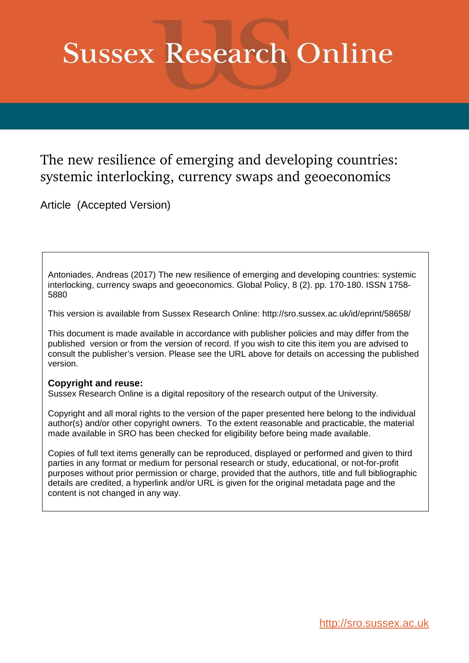# **Sussex Research Online**

# The new resilience of emerging and developing countries: systemic interlocking, currency swaps and geoeconomics

Article (Accepted Version)

Antoniades, Andreas (2017) The new resilience of emerging and developing countries: systemic interlocking, currency swaps and geoeconomics. Global Policy, 8 (2). pp. 170-180. ISSN 1758- 5880

This version is available from Sussex Research Online: http://sro.sussex.ac.uk/id/eprint/58658/

This document is made available in accordance with publisher policies and may differ from the published version or from the version of record. If you wish to cite this item you are advised to consult the publisher's version. Please see the URL above for details on accessing the published version.

# **Copyright and reuse:**

Sussex Research Online is a digital repository of the research output of the University.

Copyright and all moral rights to the version of the paper presented here belong to the individual author(s) and/or other copyright owners. To the extent reasonable and practicable, the material made available in SRO has been checked for eligibility before being made available.

Copies of full text items generally can be reproduced, displayed or performed and given to third parties in any format or medium for personal research or study, educational, or not-for-profit purposes without prior permission or charge, provided that the authors, title and full bibliographic details are credited, a hyperlink and/or URL is given for the original metadata page and the content is not changed in any way.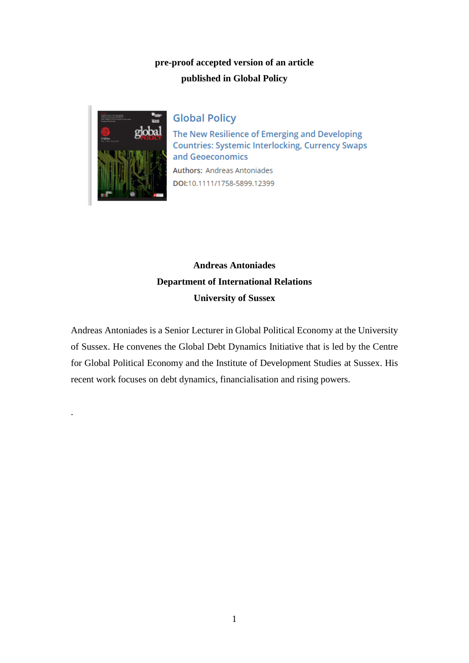# **pre-proof accepted version of an article published in Global Policy**



.

**Global Policy** The New Resilience of Emerging and Developing **Countries: Systemic Interlocking, Currency Swaps** and Geoeconomics **Authors: Andreas Antoniades** DOI:10.1111/1758-5899.12399

# **Andreas Antoniades Department of International Relations University of Sussex**

Andreas Antoniades is a Senior Lecturer in Global Political Economy at the University of Sussex. He convenes the Global Debt Dynamics Initiative that is led by the Centre for Global Political Economy and the Institute of Development Studies at Sussex. His recent work focuses on debt dynamics, financialisation and rising powers.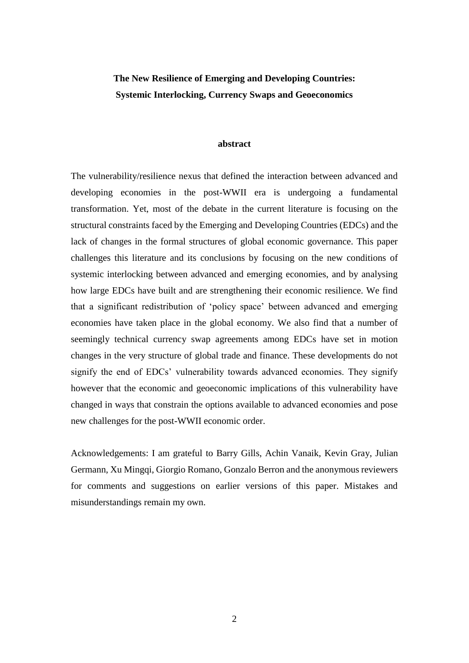# **The New Resilience of Emerging and Developing Countries: Systemic Interlocking, Currency Swaps and Geoeconomics**

### **abstract**

The vulnerability/resilience nexus that defined the interaction between advanced and developing economies in the post-WWII era is undergoing a fundamental transformation. Yet, most of the debate in the current literature is focusing on the structural constraints faced by the Emerging and Developing Countries (EDCs) and the lack of changes in the formal structures of global economic governance. This paper challenges this literature and its conclusions by focusing on the new conditions of systemic interlocking between advanced and emerging economies, and by analysing how large EDCs have built and are strengthening their economic resilience. We find that a significant redistribution of 'policy space' between advanced and emerging economies have taken place in the global economy. We also find that a number of seemingly technical currency swap agreements among EDCs have set in motion changes in the very structure of global trade and finance. These developments do not signify the end of EDCs' vulnerability towards advanced economies. They signify however that the economic and geoeconomic implications of this vulnerability have changed in ways that constrain the options available to advanced economies and pose new challenges for the post-WWII economic order.

Acknowledgements: I am grateful to Barry Gills, Achin Vanaik, Kevin Gray, Julian Germann, Xu Mingqi, Giorgio Romano, Gonzalo Berron and the anonymous reviewers for comments and suggestions on earlier versions of this paper. Mistakes and misunderstandings remain my own.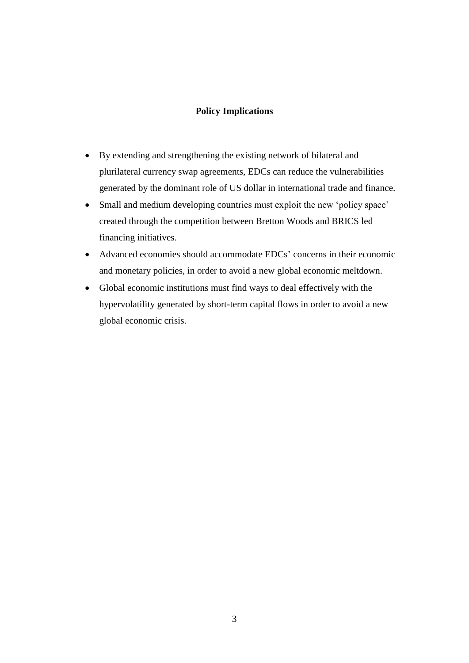# **Policy Implications**

- By extending and strengthening the existing network of bilateral and plurilateral currency swap agreements, EDCs can reduce the vulnerabilities generated by the dominant role of US dollar in international trade and finance.
- Small and medium developing countries must exploit the new 'policy space' created through the competition between Bretton Woods and BRICS led financing initiatives.
- Advanced economies should accommodate EDCs' concerns in their economic and monetary policies, in order to avoid a new global economic meltdown.
- Global economic institutions must find ways to deal effectively with the hypervolatility generated by short-term capital flows in order to avoid a new global economic crisis.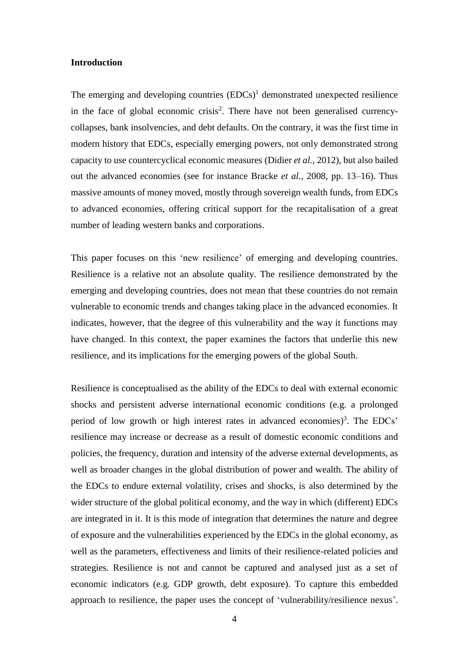## **Introduction**

The emerging and developing countries  $(EDCs)^1$  demonstrated unexpected resilience in the face of global economic crisis<sup>2</sup>. There have not been generalised currencycollapses, bank insolvencies, and debt defaults. On the contrary, it was the first time in modern history that EDCs, especially emerging powers, not only demonstrated strong capacity to use countercyclical economic measures (Didier *et al.*, 2012), but also bailed out the advanced economies (see for instance Bracke *et al.*, 2008, pp. 13–16). Thus massive amounts of money moved, mostly through sovereign wealth funds, from EDCs to advanced economies, offering critical support for the recapitalisation of a great number of leading western banks and corporations.

This paper focuses on this 'new resilience' of emerging and developing countries. Resilience is a relative not an absolute quality. The resilience demonstrated by the emerging and developing countries, does not mean that these countries do not remain vulnerable to economic trends and changes taking place in the advanced economies. It indicates, however, that the degree of this vulnerability and the way it functions may have changed. In this context, the paper examines the factors that underlie this new resilience, and its implications for the emerging powers of the global South.

Resilience is conceptualised as the ability of the EDCs to deal with external economic shocks and persistent adverse international economic conditions (e.g. a prolonged period of low growth or high interest rates in advanced economies) 3 . The EDCs' resilience may increase or decrease as a result of domestic economic conditions and policies, the frequency, duration and intensity of the adverse external developments, as well as broader changes in the global distribution of power and wealth. The ability of the EDCs to endure external volatility, crises and shocks, is also determined by the wider structure of the global political economy, and the way in which (different) EDCs are integrated in it. It is this mode of integration that determines the nature and degree of exposure and the vulnerabilities experienced by the EDCs in the global economy, as well as the parameters, effectiveness and limits of their resilience-related policies and strategies. Resilience is not and cannot be captured and analysed just as a set of economic indicators (e.g. GDP growth, debt exposure). To capture this embedded approach to resilience, the paper uses the concept of 'vulnerability/resilience nexus'.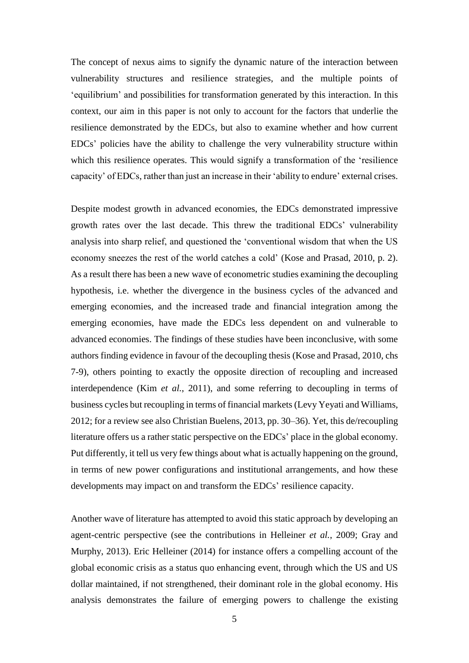The concept of nexus aims to signify the dynamic nature of the interaction between vulnerability structures and resilience strategies, and the multiple points of 'equilibrium' and possibilities for transformation generated by this interaction. In this context, our aim in this paper is not only to account for the factors that underlie the resilience demonstrated by the EDCs, but also to examine whether and how current EDCs' policies have the ability to challenge the very vulnerability structure within which this resilience operates. This would signify a transformation of the 'resilience capacity' of EDCs, rather than just an increase in their 'ability to endure' external crises.

Despite modest growth in advanced economies, the EDCs demonstrated impressive growth rates over the last decade. This threw the traditional EDCs' vulnerability analysis into sharp relief, and questioned the 'conventional wisdom that when the US economy sneezes the rest of the world catches a cold' (Kose and Prasad, 2010, p. 2). As a result there has been a new wave of econometric studies examining the decoupling hypothesis, i.e. whether the divergence in the business cycles of the advanced and emerging economies, and the increased trade and financial integration among the emerging economies, have made the EDCs less dependent on and vulnerable to advanced economies. The findings of these studies have been inconclusive, with some authors finding evidence in favour of the decoupling thesis (Kose and Prasad, 2010, chs 7-9), others pointing to exactly the opposite direction of recoupling and increased interdependence (Kim *et al.*, 2011), and some referring to decoupling in terms of business cycles but recoupling in terms of financial markets (Levy Yeyati and Williams, 2012; for a review see also Christian Buelens, 2013, pp. 30–36). Yet, this de/recoupling literature offers us a rather static perspective on the EDCs' place in the global economy. Put differently, it tell us very few things about what is actually happening on the ground, in terms of new power configurations and institutional arrangements, and how these developments may impact on and transform the EDCs' resilience capacity.

Another wave of literature has attempted to avoid this static approach by developing an agent-centric perspective (see the contributions in Helleiner *et al.*, 2009; Gray and Murphy, 2013). Eric Helleiner (2014) for instance offers a compelling account of the global economic crisis as a status quo enhancing event, through which the US and US dollar maintained, if not strengthened, their dominant role in the global economy. His analysis demonstrates the failure of emerging powers to challenge the existing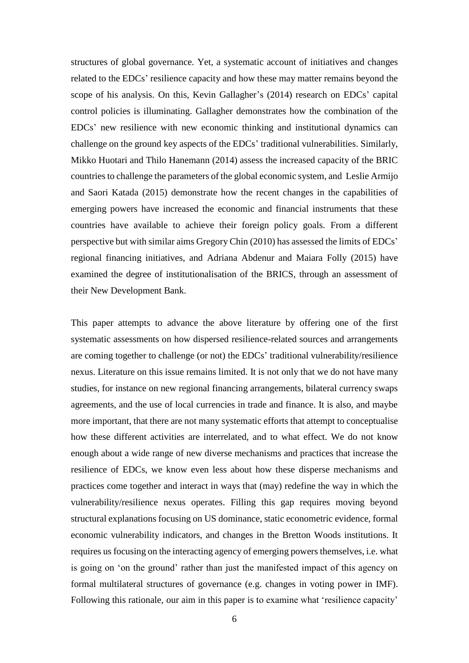structures of global governance. Yet, a systematic account of initiatives and changes related to the EDCs' resilience capacity and how these may matter remains beyond the scope of his analysis. On this, Kevin Gallagher's (2014) research on EDCs' capital control policies is illuminating. Gallagher demonstrates how the combination of the EDCs' new resilience with new economic thinking and institutional dynamics can challenge on the ground key aspects of the EDCs' traditional vulnerabilities. Similarly, Mikko Huotari and Thilo Hanemann (2014) assess the increased capacity of the BRIC countries to challenge the parameters of the global economic system, and Leslie Armijo and Saori Katada (2015) demonstrate how the recent changes in the capabilities of emerging powers have increased the economic and financial instruments that these countries have available to achieve their foreign policy goals. From a different perspective but with similar aims Gregory Chin (2010) has assessed the limits of EDCs' regional financing initiatives, and Adriana Abdenur and Maiara Folly (2015) have examined the degree of institutionalisation of the BRICS, through an assessment of their New Development Bank.

This paper attempts to advance the above literature by offering one of the first systematic assessments on how dispersed resilience-related sources and arrangements are coming together to challenge (or not) the EDCs' traditional vulnerability/resilience nexus. Literature on this issue remains limited. It is not only that we do not have many studies, for instance on new regional financing arrangements, bilateral currency swaps agreements, and the use of local currencies in trade and finance. It is also, and maybe more important, that there are not many systematic efforts that attempt to conceptualise how these different activities are interrelated, and to what effect. We do not know enough about a wide range of new diverse mechanisms and practices that increase the resilience of EDCs, we know even less about how these disperse mechanisms and practices come together and interact in ways that (may) redefine the way in which the vulnerability/resilience nexus operates. Filling this gap requires moving beyond structural explanations focusing on US dominance, static econometric evidence, formal economic vulnerability indicators, and changes in the Bretton Woods institutions. It requires us focusing on the interacting agency of emerging powers themselves, i.e. what is going on 'on the ground' rather than just the manifested impact of this agency on formal multilateral structures of governance (e.g. changes in voting power in IMF). Following this rationale, our aim in this paper is to examine what 'resilience capacity'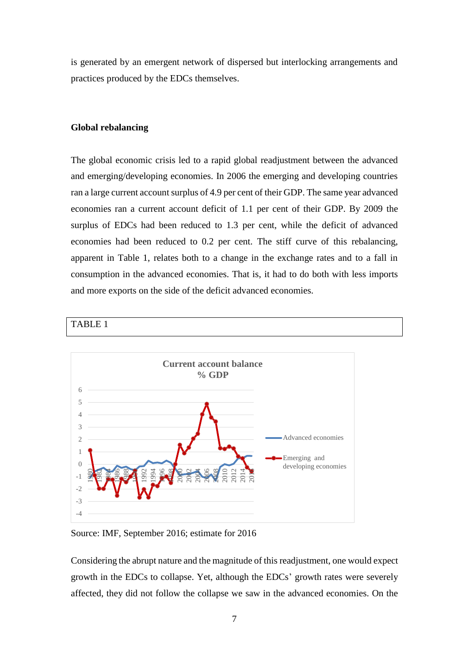is generated by an emergent network of dispersed but interlocking arrangements and practices produced by the EDCs themselves.

## **Global rebalancing**

The global economic crisis led to a rapid global readjustment between the advanced and emerging/developing economies. In 2006 the emerging and developing countries ran a large current account surplus of 4.9 per cent of their GDP. The same year advanced economies ran a current account deficit of 1.1 per cent of their GDP. By 2009 the surplus of EDCs had been reduced to 1.3 per cent, while the deficit of advanced economies had been reduced to 0.2 per cent. The stiff curve of this rebalancing, apparent in Table 1, relates both to a change in the exchange rates and to a fall in consumption in the advanced economies. That is, it had to do both with less imports and more exports on the side of the deficit advanced economies.





Source: IMF, September 2016; estimate for 2016

Considering the abrupt nature and the magnitude of this readjustment, one would expect growth in the EDCs to collapse. Yet, although the EDCs' growth rates were severely affected, they did not follow the collapse we saw in the advanced economies. On the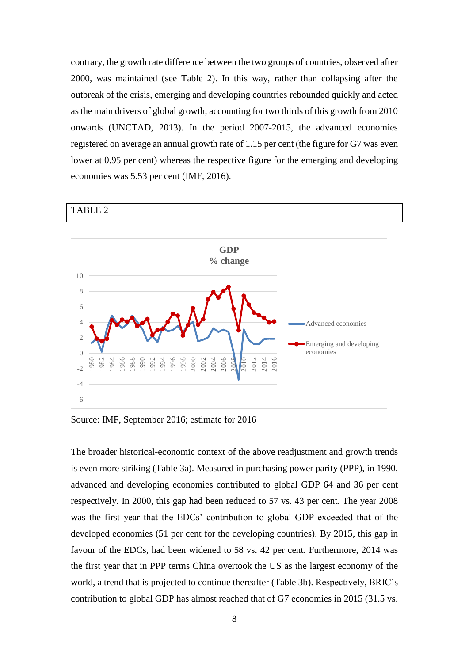contrary, the growth rate difference between the two groups of countries, observed after 2000, was maintained (see Table 2). In this way, rather than collapsing after the outbreak of the crisis, emerging and developing countries rebounded quickly and acted as the main drivers of global growth, accounting for two thirds of this growth from 2010 onwards (UNCTAD, 2013). In the period 2007-2015, the advanced economies registered on average an annual growth rate of 1.15 per cent (the figure for G7 was even lower at 0.95 per cent) whereas the respective figure for the emerging and developing economies was 5.53 per cent (IMF, 2016).



Source: IMF, September 2016; estimate for 2016

The broader historical-economic context of the above readjustment and growth trends is even more striking (Table 3a). Measured in purchasing power parity (PPP), in 1990, advanced and developing economies contributed to global GDP 64 and 36 per cent respectively. In 2000, this gap had been reduced to 57 vs. 43 per cent. The year 2008 was the first year that the EDCs' contribution to global GDP exceeded that of the developed economies (51 per cent for the developing countries). By 2015, this gap in favour of the EDCs, had been widened to 58 vs. 42 per cent. Furthermore, 2014 was the first year that in PPP terms China overtook the US as the largest economy of the world, a trend that is projected to continue thereafter (Table 3b). Respectively, BRIC's contribution to global GDP has almost reached that of G7 economies in 2015 (31.5 vs.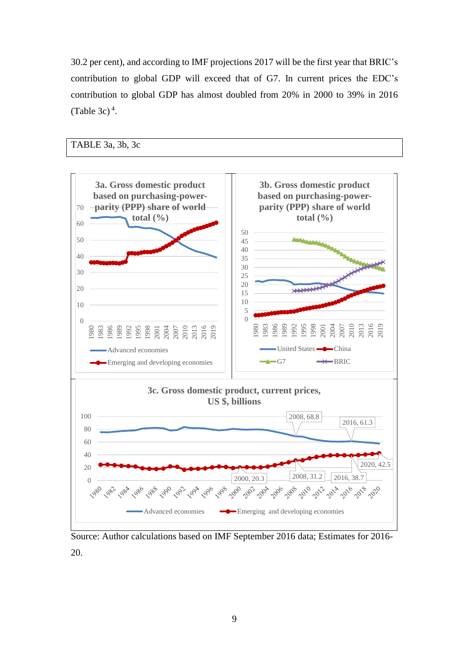30.2 per cent), and according to IMF projections 2017 will be the first year that BRIC's contribution to global GDP will exceed that of G7. In current prices the EDC's contribution to global GDP has almost doubled from 20% in 2000 to 39% in 2016 (Table 3c) $<sup>4</sup>$ .</sup>



Source: Author calculations based on IMF September 2016 data; Estimates for 2016- 20.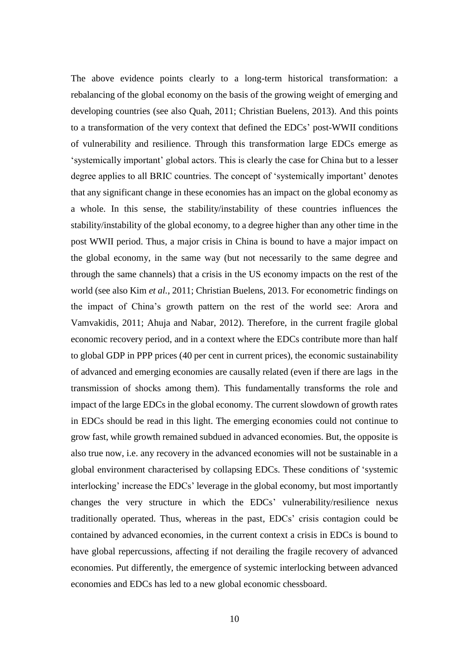The above evidence points clearly to a long-term historical transformation: a rebalancing of the global economy on the basis of the growing weight of emerging and developing countries (see also Quah, 2011; Christian Buelens, 2013). And this points to a transformation of the very context that defined the EDCs' post-WWII conditions of vulnerability and resilience. Through this transformation large EDCs emerge as 'systemically important' global actors. This is clearly the case for China but to a lesser degree applies to all BRIC countries. The concept of 'systemically important' denotes that any significant change in these economies has an impact on the global economy as a whole. In this sense, the stability/instability of these countries influences the stability/instability of the global economy, to a degree higher than any other time in the post WWII period. Thus, a major crisis in China is bound to have a major impact on the global economy, in the same way (but not necessarily to the same degree and through the same channels) that a crisis in the US economy impacts on the rest of the world (see also Kim *et al.*, 2011; Christian Buelens, 2013. For econometric findings on the impact of China's growth pattern on the rest of the world see: Arora and Vamvakidis, 2011; Ahuja and Nabar, 2012). Therefore, in the current fragile global economic recovery period, and in a context where the EDCs contribute more than half to global GDP in PPP prices (40 per cent in current prices), the economic sustainability of advanced and emerging economies are causally related (even if there are lags in the transmission of shocks among them). This fundamentally transforms the role and impact of the large EDCs in the global economy. The current slowdown of growth rates in EDCs should be read in this light. The emerging economies could not continue to grow fast, while growth remained subdued in advanced economies. But, the opposite is also true now, i.e. any recovery in the advanced economies will not be sustainable in a global environment characterised by collapsing EDCs. These conditions of 'systemic interlocking' increase the EDCs' leverage in the global economy, but most importantly changes the very structure in which the EDCs' vulnerability/resilience nexus traditionally operated. Thus, whereas in the past, EDCs' crisis contagion could be contained by advanced economies, in the current context a crisis in EDCs is bound to have global repercussions, affecting if not derailing the fragile recovery of advanced economies. Put differently, the emergence of systemic interlocking between advanced economies and EDCs has led to a new global economic chessboard.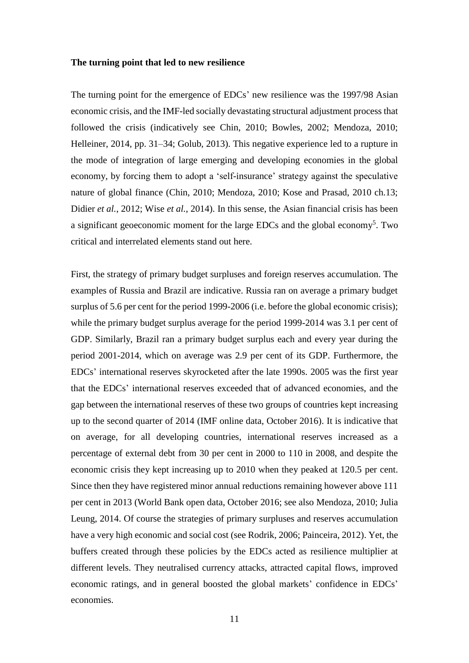### **The turning point that led to new resilience**

The turning point for the emergence of EDCs' new resilience was the 1997/98 Asian economic crisis, and the IMF-led socially devastating structural adjustment process that followed the crisis (indicatively see Chin, 2010; Bowles, 2002; Mendoza, 2010; Helleiner, 2014, pp. 31–34; Golub, 2013). This negative experience led to a rupture in the mode of integration of large emerging and developing economies in the global economy, by forcing them to adopt a 'self-insurance' strategy against the speculative nature of global finance (Chin, 2010; Mendoza, 2010; Kose and Prasad, 2010 ch.13; Didier *et al.*, 2012; Wise *et al.*, 2014). In this sense, the Asian financial crisis has been a significant geoeconomic moment for the large EDCs and the global economy<sup>5</sup>. Two critical and interrelated elements stand out here.

First, the strategy of primary budget surpluses and foreign reserves accumulation. The examples of Russia and Brazil are indicative. Russia ran on average a primary budget surplus of 5.6 per cent for the period 1999-2006 (i.e. before the global economic crisis); while the primary budget surplus average for the period 1999-2014 was 3.1 per cent of GDP. Similarly, Brazil ran a primary budget surplus each and every year during the period 2001-2014, which on average was 2.9 per cent of its GDP. Furthermore, the EDCs' international reserves skyrocketed after the late 1990s. 2005 was the first year that the EDCs' international reserves exceeded that of advanced economies, and the gap between the international reserves of these two groups of countries kept increasing up to the second quarter of 2014 (IMF online data, October 2016). It is indicative that on average, for all developing countries, international reserves increased as a percentage of external debt from 30 per cent in 2000 to 110 in 2008, and despite the economic crisis they kept increasing up to 2010 when they peaked at 120.5 per cent. Since then they have registered minor annual reductions remaining however above 111 per cent in 2013 (World Bank open data, October 2016; see also Mendoza, 2010; Julia Leung, 2014. Of course the strategies of primary surpluses and reserves accumulation have a very high economic and social cost (see Rodrik, 2006; Painceira, 2012). Yet, the buffers created through these policies by the EDCs acted as resilience multiplier at different levels. They neutralised currency attacks, attracted capital flows, improved economic ratings, and in general boosted the global markets' confidence in EDCs' economies.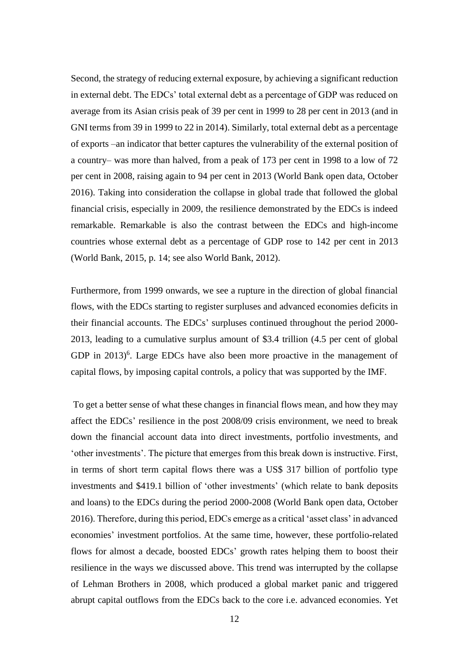Second, the strategy of reducing external exposure, by achieving a significant reduction in external debt. The EDCs' total external debt as a percentage of GDP was reduced on average from its Asian crisis peak of 39 per cent in 1999 to 28 per cent in 2013 (and in GNI terms from 39 in 1999 to 22 in 2014). Similarly, total external debt as a percentage of exports –an indicator that better captures the vulnerability of the external position of a country– was more than halved, from a peak of 173 per cent in 1998 to a low of 72 per cent in 2008, raising again to 94 per cent in 2013 (World Bank open data, October 2016). Taking into consideration the collapse in global trade that followed the global financial crisis, especially in 2009, the resilience demonstrated by the EDCs is indeed remarkable. Remarkable is also the contrast between the EDCs and high-income countries whose external debt as a percentage of GDP rose to 142 per cent in 2013 (World Bank, 2015, p. 14; see also World Bank, 2012).

Furthermore, from 1999 onwards, we see a rupture in the direction of global financial flows, with the EDCs starting to register surpluses and advanced economies deficits in their financial accounts. The EDCs' surpluses continued throughout the period 2000- 2013, leading to a cumulative surplus amount of \$3.4 trillion (4.5 per cent of global GDP in  $2013$ <sup>6</sup>. Large EDCs have also been more proactive in the management of capital flows, by imposing capital controls, a policy that was supported by the IMF.

To get a better sense of what these changes in financial flows mean, and how they may affect the EDCs' resilience in the post 2008/09 crisis environment, we need to break down the financial account data into direct investments, portfolio investments, and 'other investments'. The picture that emerges from this break down is instructive. First, in terms of short term capital flows there was a US\$ 317 billion of portfolio type investments and \$419.1 billion of 'other investments' (which relate to bank deposits and loans) to the EDCs during the period 2000-2008 (World Bank open data, October 2016). Therefore, during this period, EDCs emerge as a critical 'asset class' in advanced economies' investment portfolios. At the same time, however, these portfolio-related flows for almost a decade, boosted EDCs' growth rates helping them to boost their resilience in the ways we discussed above. This trend was interrupted by the collapse of Lehman Brothers in 2008, which produced a global market panic and triggered abrupt capital outflows from the EDCs back to the core i.e. advanced economies. Yet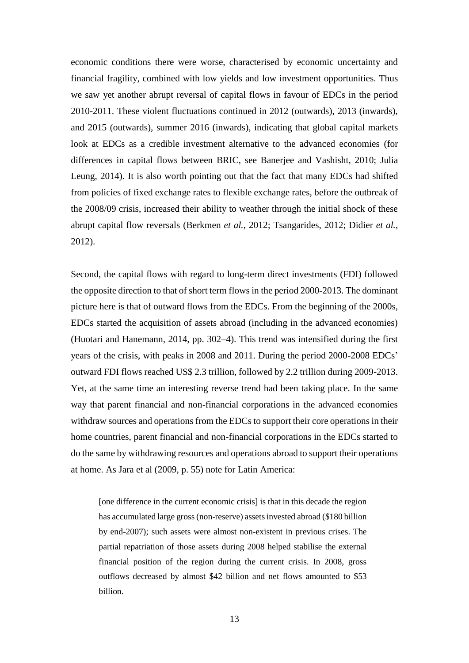economic conditions there were worse, characterised by economic uncertainty and financial fragility, combined with low yields and low investment opportunities. Thus we saw yet another abrupt reversal of capital flows in favour of EDCs in the period 2010-2011. These violent fluctuations continued in 2012 (outwards), 2013 (inwards), and 2015 (outwards), summer 2016 (inwards), indicating that global capital markets look at EDCs as a credible investment alternative to the advanced economies (for differences in capital flows between BRIC, see Banerjee and Vashisht, 2010; Julia Leung, 2014). It is also worth pointing out that the fact that many EDCs had shifted from policies of fixed exchange rates to flexible exchange rates, before the outbreak of the 2008/09 crisis, increased their ability to weather through the initial shock of these abrupt capital flow reversals (Berkmen *et al.*, 2012; Tsangarides, 2012; Didier *et al.*, 2012).

Second, the capital flows with regard to long-term direct investments (FDI) followed the opposite direction to that of short term flows in the period 2000-2013. The dominant picture here is that of outward flows from the EDCs. From the beginning of the 2000s, EDCs started the acquisition of assets abroad (including in the advanced economies) (Huotari and Hanemann, 2014, pp. 302–4). This trend was intensified during the first years of the crisis, with peaks in 2008 and 2011. During the period 2000-2008 EDCs' outward FDI flows reached US\$ 2.3 trillion, followed by 2.2 trillion during 2009-2013. Yet, at the same time an interesting reverse trend had been taking place. In the same way that parent financial and non-financial corporations in the advanced economies withdraw sources and operations from the EDCs to support their core operations in their home countries, parent financial and non-financial corporations in the EDCs started to do the same by withdrawing resources and operations abroad to support their operations at home. As Jara et al (2009, p. 55) note for Latin America:

[one difference in the current economic crisis] is that in this decade the region has accumulated large gross (non-reserve) assets invested abroad (\$180 billion by end-2007); such assets were almost non-existent in previous crises. The partial repatriation of those assets during 2008 helped stabilise the external financial position of the region during the current crisis. In 2008, gross outflows decreased by almost \$42 billion and net flows amounted to \$53 billion.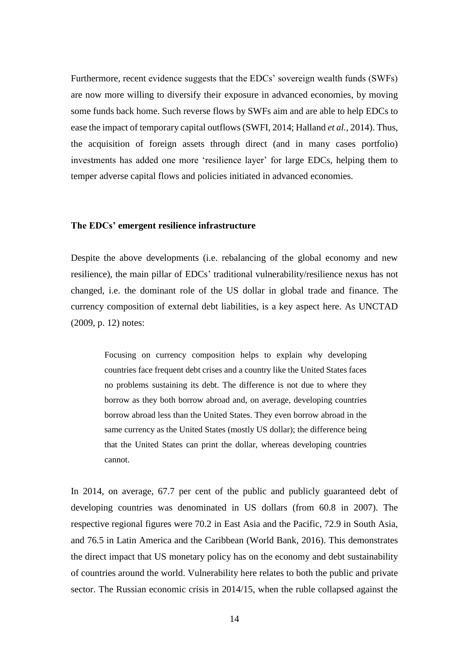Furthermore, recent evidence suggests that the EDCs' sovereign wealth funds (SWFs) are now more willing to diversify their exposure in advanced economies, by moving some funds back home. Such reverse flows by SWFs aim and are able to help EDCs to ease the impact of temporary capital outflows (SWFI, 2014; Halland *et al.*, 2014). Thus, the acquisition of foreign assets through direct (and in many cases portfolio) investments has added one more 'resilience layer' for large EDCs, helping them to temper adverse capital flows and policies initiated in advanced economies.

## **The EDCs' emergent resilience infrastructure**

Despite the above developments (i.e. rebalancing of the global economy and new resilience), the main pillar of EDCs' traditional vulnerability/resilience nexus has not changed, i.e. the dominant role of the US dollar in global trade and finance. The currency composition of external debt liabilities, is a key aspect here. As UNCTAD (2009, p. 12) notes:

> Focusing on currency composition helps to explain why developing countries face frequent debt crises and a country like the United States faces no problems sustaining its debt. The difference is not due to where they borrow as they both borrow abroad and, on average, developing countries borrow abroad less than the United States. They even borrow abroad in the same currency as the United States (mostly US dollar); the difference being that the United States can print the dollar, whereas developing countries cannot.

In 2014, on average, 67.7 per cent of the public and publicly guaranteed debt of developing countries was denominated in US dollars (from 60.8 in 2007). The respective regional figures were 70.2 in East Asia and the Pacific, 72.9 in South Asia, and 76.5 in Latin America and the Caribbean (World Bank, 2016). This demonstrates the direct impact that US monetary policy has on the economy and debt sustainability of countries around the world. Vulnerability here relates to both the public and private sector. The Russian economic crisis in 2014/15, when the ruble collapsed against the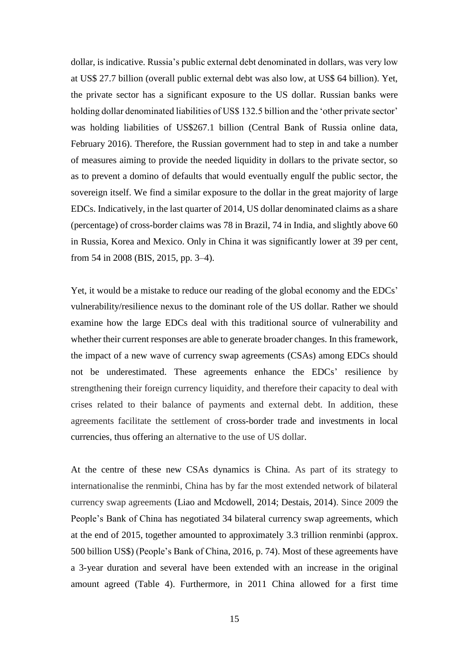dollar, is indicative. Russia's public external debt denominated in dollars, was very low at US\$ 27.7 billion (overall public external debt was also low, at US\$ 64 billion). Yet, the private sector has a significant exposure to the US dollar. Russian banks were holding dollar denominated liabilities of US\$ 132.5 billion and the 'other private sector' was holding liabilities of US\$267.1 billion (Central Bank of Russia online data, February 2016). Therefore, the Russian government had to step in and take a number of measures aiming to provide the needed liquidity in dollars to the private sector, so as to prevent a domino of defaults that would eventually engulf the public sector, the sovereign itself. We find a similar exposure to the dollar in the great majority of large EDCs. Indicatively, in the last quarter of 2014, US dollar denominated claims as a share (percentage) of cross-border claims was 78 in Brazil, 74 in India, and slightly above 60 in Russia, Korea and Mexico. Only in China it was significantly lower at 39 per cent, from 54 in 2008 (BIS, 2015, pp. 3–4).

Yet, it would be a mistake to reduce our reading of the global economy and the EDCs' vulnerability/resilience nexus to the dominant role of the US dollar. Rather we should examine how the large EDCs deal with this traditional source of vulnerability and whether their current responses are able to generate broader changes. In this framework, the impact of a new wave of currency swap agreements (CSAs) among EDCs should not be underestimated. These agreements enhance the EDCs' resilience by strengthening their foreign currency liquidity, and therefore their capacity to deal with crises related to their balance of payments and external debt. In addition, these agreements facilitate the settlement of cross-border trade and investments in local currencies, thus offering an alternative to the use of US dollar.

At the centre of these new CSAs dynamics is China. As part of its strategy to internationalise the renminbi, China has by far the most extended network of bilateral currency swap agreements (Liao and Mcdowell, 2014; Destais, 2014). Since 2009 the People's Bank of China has negotiated 34 bilateral currency swap agreements, which at the end of 2015, together amounted to approximately 3.3 trillion renminbi (approx. 500 billion US\$) (People's Bank of China, 2016, p. 74). Most of these agreements have a 3-year duration and several have been extended with an increase in the original amount agreed (Table 4). Furthermore, in 2011 China allowed for a first time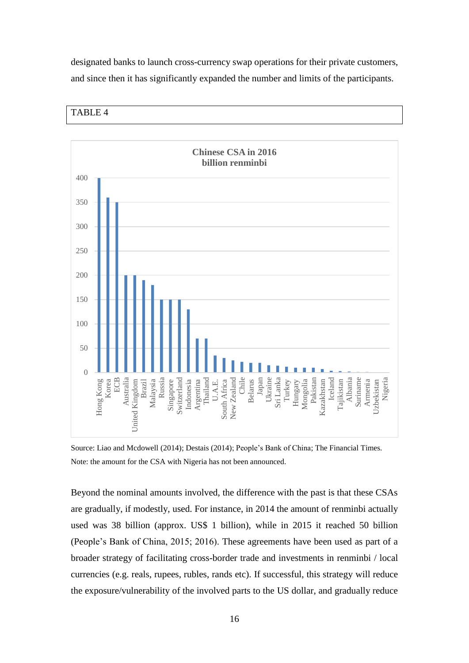designated banks to launch cross-currency swap operations for their private customers, and since then it has significantly expanded the number and limits of the participants.





Source: Liao and Mcdowell (2014); Destais (2014); People's Bank of China; The Financial Times. Note: the amount for the CSA with Nigeria has not been announced.

Beyond the nominal amounts involved, the difference with the past is that these CSAs are gradually, if modestly, used. For instance, in 2014 the amount of renminbi actually used was 38 billion (approx. US\$ 1 billion), while in 2015 it reached 50 billion (People's Bank of China, 2015; 2016). These agreements have been used as part of a broader strategy of facilitating cross-border trade and investments in renminbi / local currencies (e.g. reals, rupees, rubles, rands etc). If successful, this strategy will reduce the exposure/vulnerability of the involved parts to the US dollar, and gradually reduce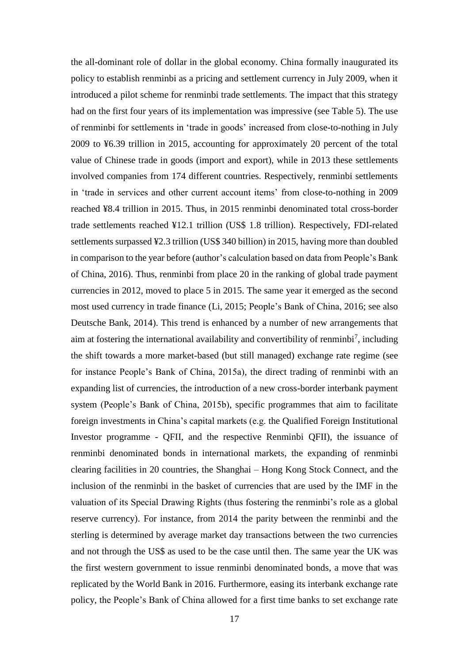the all-dominant role of dollar in the global economy. China formally inaugurated its policy to establish renminbi as a pricing and settlement currency in July 2009, when it introduced a pilot scheme for renminbi trade settlements. The impact that this strategy had on the first four years of its implementation was impressive (see Table 5). The use of renminbi for settlements in 'trade in goods' increased from close-to-nothing in July 2009 to ¥6.39 trillion in 2015, accounting for approximately 20 percent of the total value of Chinese trade in goods (import and export), while in 2013 these settlements involved companies from 174 different countries. Respectively, renminbi settlements in 'trade in services and other current account items' from close-to-nothing in 2009 reached ¥8.4 trillion in 2015. Thus, in 2015 renminbi denominated total cross-border trade settlements reached ¥12.1 trillion (US\$ 1.8 trillion). Respectively, FDI-related settlements surpassed ¥2.3 trillion (US\$ 340 billion) in 2015, having more than doubled in comparison to the year before (author's calculation based on data from People's Bank of China, 2016). Thus, renminbi from place 20 in the ranking of global trade payment currencies in 2012, moved to place 5 in 2015. The same year it emerged as the second most used currency in trade finance (Li, 2015; People's Bank of China, 2016; see also Deutsche Bank, 2014). This trend is enhanced by a number of new arrangements that aim at fostering the international availability and convertibility of renminbi<sup>7</sup>, including the shift towards a more market-based (but still managed) exchange rate regime (see for instance People's Bank of China, 2015a), the direct trading of renminbi with an expanding list of currencies, the introduction of a new cross-border interbank payment system (People's Bank of China, 2015b), specific programmes that aim to facilitate foreign investments in China's capital markets (e.g. the Qualified Foreign Institutional Investor programme - QFII, and the respective Renminbi QFII), the issuance of renminbi denominated bonds in international markets, the expanding of renminbi clearing facilities in 20 countries, the Shanghai – Hong Kong Stock Connect, and the inclusion of the renminbi in the basket of currencies that are used by the IMF in the valuation of its Special Drawing Rights (thus fostering the renminbi's role as a global reserve currency). For instance, from 2014 the parity between the renminbi and the sterling is determined by average market day transactions between the two currencies and not through the US\$ as used to be the case until then. The same year the UK was the first western government to issue renminbi denominated bonds, a move that was replicated by the World Bank in 2016. Furthermore, easing its interbank exchange rate policy, the People's Bank of China allowed for a first time banks to set exchange rate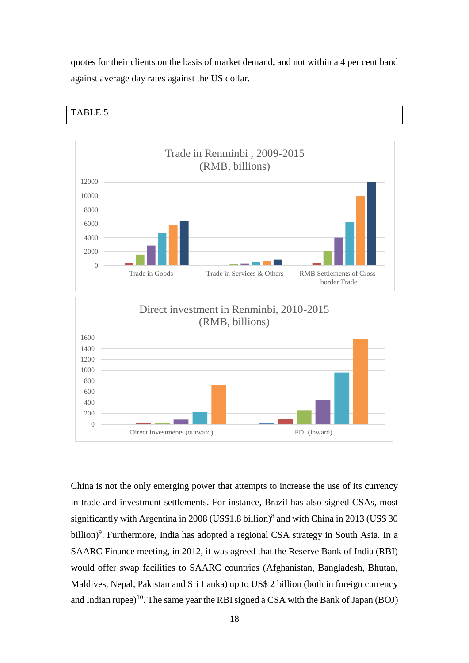quotes for their clients on the basis of market demand, and not within a 4 per cent band against average day rates against the US dollar.





China is not the only emerging power that attempts to increase the use of its currency in trade and investment settlements. For instance, Brazil has also signed CSAs, most significantly with Argentina in 2008 (US\$1.8 billion)<sup>8</sup> and with China in 2013 (US\$ 30 billion)<sup>9</sup>. Furthermore, India has adopted a regional CSA strategy in South Asia. In a SAARC Finance meeting, in 2012, it was agreed that the Reserve Bank of India (RBI) would offer swap facilities to SAARC countries (Afghanistan, Bangladesh, Bhutan, Maldives, Nepal, Pakistan and Sri Lanka) up to US\$ 2 billion (both in foreign currency and Indian rupee)<sup>10</sup>. The same year the RBI signed a CSA with the Bank of Japan (BOJ)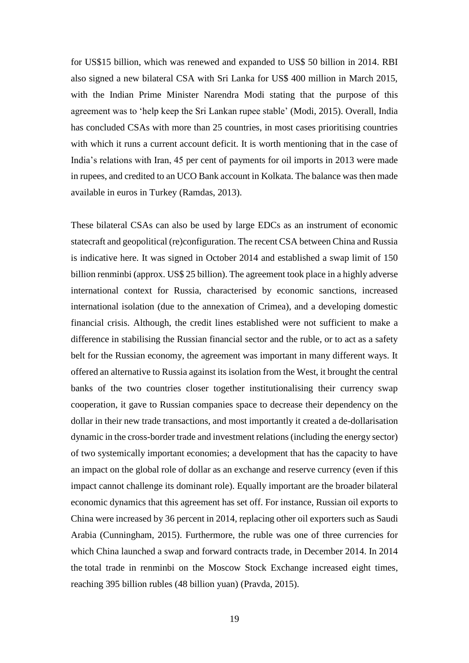for US\$15 billion, which was renewed and expanded to US\$ 50 billion in 2014. RBI also signed a new bilateral CSA with Sri Lanka for US\$ 400 million in March 2015, with the Indian Prime Minister Narendra Modi stating that the purpose of this agreement was to 'help keep the Sri Lankan rupee stable' (Modi, 2015). Overall, India has concluded CSAs with more than 25 countries, in most cases prioritising countries with which it runs a current account deficit. It is worth mentioning that in the case of India's relations with Iran, 45 per cent of payments for oil imports in 2013 were made in rupees, and credited to an UCO Bank account in Kolkata. The balance was then made available in euros in Turkey (Ramdas, 2013).

These bilateral CSAs can also be used by large EDCs as an instrument of economic statecraft and geopolitical (re)configuration. The recent CSA between China and Russia is indicative here. It was signed in October 2014 and established a swap limit of 150 billion renminbi (approx. US\$ 25 billion). The agreement took place in a highly adverse international context for Russia, characterised by economic sanctions, increased international isolation (due to the annexation of Crimea), and a developing domestic financial crisis. Although, the credit lines established were not sufficient to make a difference in stabilising the Russian financial sector and the ruble, or to act as a safety belt for the Russian economy, the agreement was important in many different ways. It offered an alternative to Russia against its isolation from the West, it brought the central banks of the two countries closer together institutionalising their currency swap cooperation, it gave to Russian companies space to decrease their dependency on the dollar in their new trade transactions, and most importantly it created a de-dollarisation dynamic in the cross-border trade and investment relations (including the energy sector) of two systemically important economies; a development that has the capacity to have an impact on the global role of dollar as an exchange and reserve currency (even if this impact cannot challenge its dominant role). Equally important are the broader bilateral economic dynamics that this agreement has set off. For instance, Russian oil exports to China were increased by 36 percent in 2014, replacing other oil exporters such as Saudi Arabia (Cunningham, 2015). Furthermore, the ruble was one of three currencies for which China launched a swap and forward contracts trade, in December 2014. In 2014 the total trade in renminbi on the Moscow Stock Exchange increased eight times, reaching 395 billion rubles (48 billion yuan) (Pravda, 2015).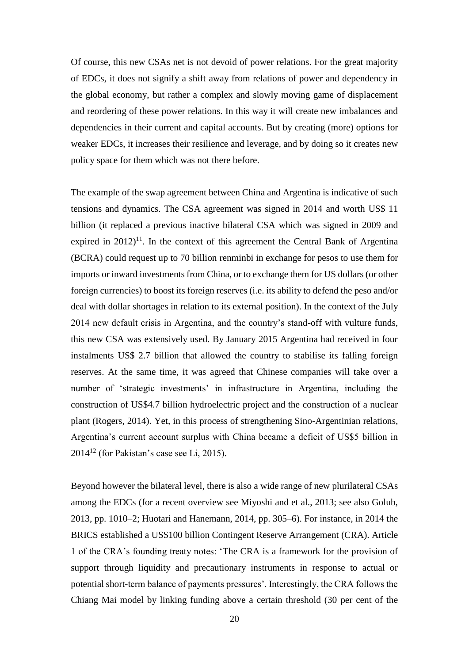Of course, this new CSAs net is not devoid of power relations. For the great majority of EDCs, it does not signify a shift away from relations of power and dependency in the global economy, but rather a complex and slowly moving game of displacement and reordering of these power relations. In this way it will create new imbalances and dependencies in their current and capital accounts. But by creating (more) options for weaker EDCs, it increases their resilience and leverage, and by doing so it creates new policy space for them which was not there before.

The example of the swap agreement between China and Argentina is indicative of such tensions and dynamics. The CSA agreement was signed in 2014 and worth US\$ 11 billion (it replaced a previous inactive bilateral CSA which was signed in 2009 and expired in  $2012$ <sup>11</sup>. In the context of this agreement the Central Bank of Argentina (BCRA) could request up to 70 billion renminbi in exchange for pesos to use them for imports or inward investments from China, or to exchange them for US dollars (or other foreign currencies) to boost its foreign reserves (i.e. its ability to defend the peso and/or deal with dollar shortages in relation to its external position). In the context of the July 2014 new default crisis in Argentina, and the country's stand-off with vulture funds, this new CSA was extensively used. By January 2015 Argentina had received in four instalments US\$ 2.7 billion that allowed the country to stabilise its falling foreign reserves. At the same time, it was agreed that Chinese companies will take over a number of 'strategic investments' in infrastructure in Argentina, including the construction of US\$4.7 billion hydroelectric project and the construction of a nuclear plant (Rogers, 2014). Yet, in this process of strengthening Sino-Argentinian relations, Argentina's current account surplus with China became a deficit of US\$5 billion in  $2014^{12}$  (for Pakistan's case see Li, 2015).

Beyond however the bilateral level, there is also a wide range of new plurilateral CSAs among the EDCs (for a recent overview see Miyoshi and et al., 2013; see also Golub, 2013, pp. 1010–2; Huotari and Hanemann, 2014, pp. 305–6). For instance, in 2014 the BRICS established a US\$100 billion Contingent Reserve Arrangement (CRA). Article 1 of the CRA's founding treaty notes: 'The CRA is a framework for the provision of support through liquidity and precautionary instruments in response to actual or potential short-term balance of payments pressures'. Interestingly, the CRA follows the Chiang Mai model by linking funding above a certain threshold (30 per cent of the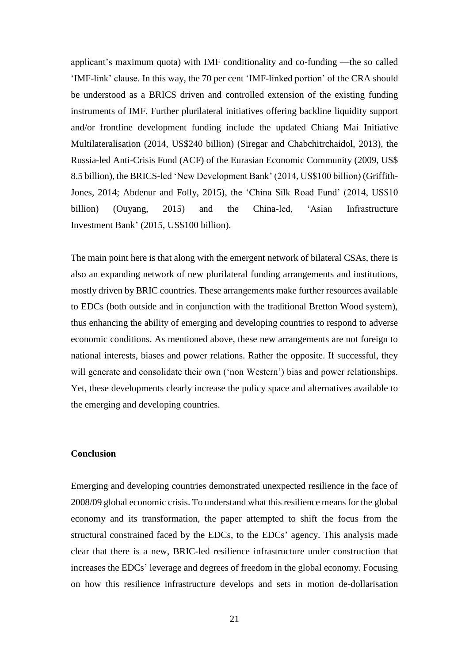applicant's maximum quota) with IMF conditionality and co-funding —the so called 'IMF-link' clause. In this way, the 70 per cent 'IMF-linked portion' of the CRA should be understood as a BRICS driven and controlled extension of the existing funding instruments of IMF. Further plurilateral initiatives offering backline liquidity support and/or frontline development funding include the updated Chiang Mai Initiative Multilateralisation (2014, US\$240 billion) (Siregar and Chabchitrchaidol, 2013), the Russia-led Anti-Crisis Fund (ACF) of the Eurasian Economic Community (2009, US\$ 8.5 billion), the BRICS-led 'New Development Bank' (2014, US\$100 billion) (Griffith-Jones, 2014; Abdenur and Folly, 2015), the 'China Silk Road Fund' (2014, US\$10 billion) (Ouyang, 2015) and the China-led, 'Asian Infrastructure Investment Bank' (2015, US\$100 billion).

The main point here is that along with the emergent network of bilateral CSAs, there is also an expanding network of new plurilateral funding arrangements and institutions, mostly driven by BRIC countries. These arrangements make further resources available to EDCs (both outside and in conjunction with the traditional Bretton Wood system), thus enhancing the ability of emerging and developing countries to respond to adverse economic conditions. As mentioned above, these new arrangements are not foreign to national interests, biases and power relations. Rather the opposite. If successful, they will generate and consolidate their own ('non Western') bias and power relationships. Yet, these developments clearly increase the policy space and alternatives available to the emerging and developing countries.

## **Conclusion**

Emerging and developing countries demonstrated unexpected resilience in the face of 2008/09 global economic crisis. To understand what this resilience means for the global economy and its transformation, the paper attempted to shift the focus from the structural constrained faced by the EDCs, to the EDCs' agency. This analysis made clear that there is a new, BRIC-led resilience infrastructure under construction that increases the EDCs' leverage and degrees of freedom in the global economy. Focusing on how this resilience infrastructure develops and sets in motion de-dollarisation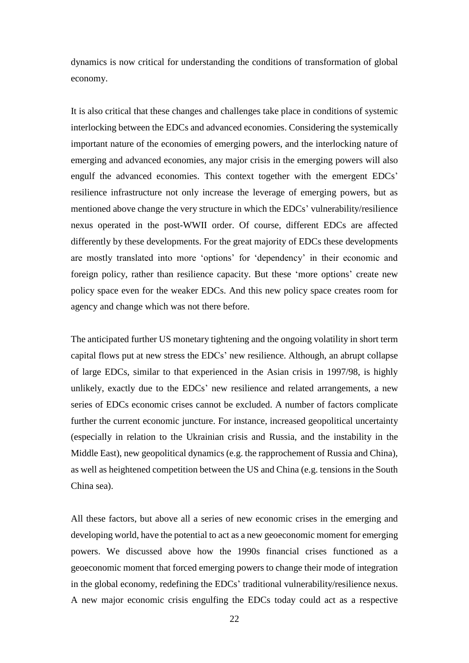dynamics is now critical for understanding the conditions of transformation of global economy.

It is also critical that these changes and challenges take place in conditions of systemic interlocking between the EDCs and advanced economies. Considering the systemically important nature of the economies of emerging powers, and the interlocking nature of emerging and advanced economies, any major crisis in the emerging powers will also engulf the advanced economies. This context together with the emergent EDCs' resilience infrastructure not only increase the leverage of emerging powers, but as mentioned above change the very structure in which the EDCs' vulnerability/resilience nexus operated in the post-WWII order. Of course, different EDCs are affected differently by these developments. For the great majority of EDCs these developments are mostly translated into more 'options' for 'dependency' in their economic and foreign policy, rather than resilience capacity. But these 'more options' create new policy space even for the weaker EDCs. And this new policy space creates room for agency and change which was not there before.

The anticipated further US monetary tightening and the ongoing volatility in short term capital flows put at new stress the EDCs' new resilience. Although, an abrupt collapse of large EDCs, similar to that experienced in the Asian crisis in 1997/98, is highly unlikely, exactly due to the EDCs' new resilience and related arrangements, a new series of EDCs economic crises cannot be excluded. A number of factors complicate further the current economic juncture. For instance, increased geopolitical uncertainty (especially in relation to the Ukrainian crisis and Russia, and the instability in the Middle East), new geopolitical dynamics (e.g. the rapprochement of Russia and China), as well as heightened competition between the US and China (e.g. tensions in the South China sea).

All these factors, but above all a series of new economic crises in the emerging and developing world, have the potential to act as a new geoeconomic moment for emerging powers. We discussed above how the 1990s financial crises functioned as a geoeconomic moment that forced emerging powers to change their mode of integration in the global economy, redefining the EDCs' traditional vulnerability/resilience nexus. A new major economic crisis engulfing the EDCs today could act as a respective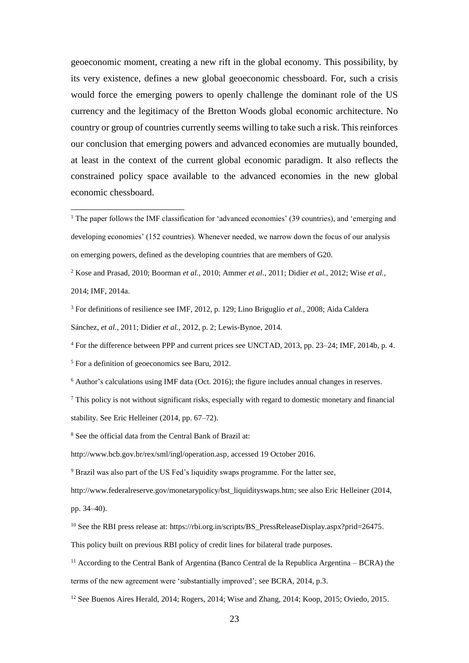geoeconomic moment, creating a new rift in the global economy. This possibility, by its very existence, defines a new global geoeconomic chessboard. For, such a crisis would force the emerging powers to openly challenge the dominant role of the US currency and the legitimacy of the Bretton Woods global economic architecture. No country or group of countries currently seems willing to take such a risk. This reinforces our conclusion that emerging powers and advanced economies are mutually bounded, at least in the context of the current global economic paradigm. It also reflects the constrained policy space available to the advanced economies in the new global economic chessboard.

<sup>2</sup> Kose and Prasad, 2010; Boorman *et al.*, 2010; Ammer *et al.*, 2011; Didier *et al.*, 2012; Wise *et al.*, 2014; IMF, 2014a.

<sup>3</sup> For definitions of resilience see IMF, 2012, p. 129; Lino Briguglio *et al.*, 2008; Aida Caldera Sánchez, *et al.*, 2011; Didier *et al.*, 2012, p. 2; Lewis-Bynoe, 2014.

<sup>4</sup> For the difference between PPP and current prices see UNCTAD, 2013, pp. 23–24; IMF, 2014b, p. 4.

<sup>5</sup> For a definition of geoeconomics see Baru, 2012.

<u>.</u>

<sup>6</sup> Author's calculations using IMF data (Oct. 2016); the figure includes annual changes in reserves.

 $7$  This policy is not without significant risks, especially with regard to domestic monetary and financial stability. See Eric Helleiner (2014, pp. 67–72).

<sup>8</sup> See the official data from the Central Bank of Brazil at:

http://www.bcb.gov.br/rex/sml/ingl/operation.asp, accessed 19 October 2016.

<sup>9</sup> Brazil was also part of the US Fed's liquidity swaps programme. For the latter see,

http://www.federalreserve.gov/monetarypolicy/bst\_liquidityswaps.htm; see also Eric Helleiner (2014, pp. 34–40).

<sup>10</sup> See the RBI press release at: https://rbi.org.in/scripts/BS\_PressReleaseDisplay.aspx?prid=26475.

This policy built on previous RBI policy of credit lines for bilateral trade purposes.

<sup>11</sup> According to the Central Bank of Argentina (Banco Central de la Republica Argentina – BCRA) the terms of the new agreement were 'substantially improved'; see BCRA, 2014, p.3.

<sup>12</sup> See Buenos Aires Herald, 2014; Rogers, 2014; Wise and Zhang, 2014; Koop, 2015; Oviedo, 2015.

<sup>&</sup>lt;sup>1</sup> The paper follows the IMF classification for 'advanced economies' (39 countries), and 'emerging and developing economies' (152 countries). Whenever needed, we narrow down the focus of our analysis on emerging powers, defined as the developing countries that are members of G20.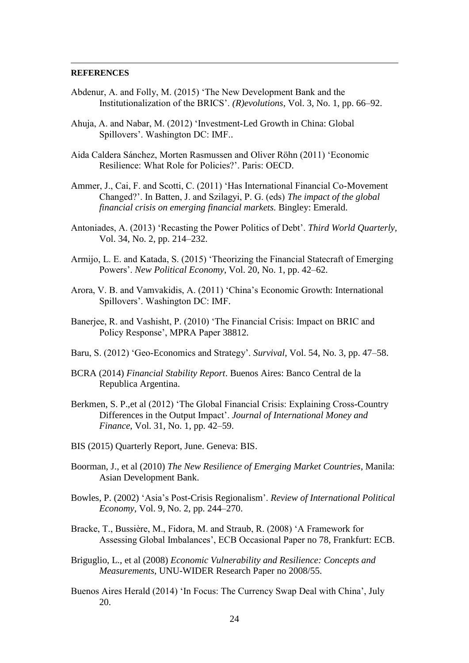#### **REFERENCES**

<u>.</u>

- Abdenur, A. and Folly, M. (2015) 'The New Development Bank and the Institutionalization of the BRICS'. *(R)evolutions*, Vol. 3, No. 1, pp. 66–92.
- Ahuja, A. and Nabar, M. (2012) 'Investment-Led Growth in China: Global Spillovers'. Washington DC: IMF..
- Aida Caldera Sánchez, Morten Rasmussen and Oliver Röhn (2011) 'Economic Resilience: What Role for Policies?'. Paris: OECD.
- Ammer, J., Cai, F. and Scotti, C. (2011) 'Has International Financial Co-Movement Changed?'. In Batten, J. and Szilagyi, P. G. (eds) *The impact of the global financial crisis on emerging financial markets.* Bingley: Emerald.
- Antoniades, A. (2013) 'Recasting the Power Politics of Debt'. *Third World Quarterly*, Vol. 34, No. 2, pp. 214–232.
- Armijo, L. E. and Katada, S. (2015) 'Theorizing the Financial Statecraft of Emerging Powers'. *New Political Economy*, Vol. 20, No. 1, pp. 42–62.
- Arora, V. B. and Vamvakidis, A. (2011) 'China's Economic Growth: International Spillovers'. Washington DC: IMF.
- Banerjee, R. and Vashisht, P. (2010) 'The Financial Crisis: Impact on BRIC and Policy Response', MPRA Paper 38812.
- Baru, S. (2012) 'Geo-Economics and Strategy'. *Survival*, Vol. 54, No. 3, pp. 47–58.
- BCRA (2014) *Financial Stability Report*. Buenos Aires: Banco Central de la Republica Argentina.
- Berkmen, S. P.,et al (2012) 'The Global Financial Crisis: Explaining Cross-Country Differences in the Output Impact'. *Journal of International Money and Finance*, Vol. 31, No. 1, pp. 42–59.
- BIS (2015) Quarterly Report, June. Geneva: BIS.
- Boorman, J., et al (2010) *The New Resilience of Emerging Market Countries*, Manila: Asian Development Bank.
- Bowles, P. (2002) 'Asia's Post-Crisis Regionalism'. *Review of International Political Economy*, Vol. 9, No. 2, pp. 244–270.
- Bracke, T., Bussière, M., Fidora, M. and Straub, R. (2008) 'A Framework for Assessing Global Imbalances', ECB Occasional Paper no 78, Frankfurt: ECB.
- Briguglio, L., et al (2008) *Economic Vulnerability and Resilience: Concepts and Measurements*, UNU-WIDER Research Paper no 2008/55.
- Buenos Aires Herald (2014) 'In Focus: The Currency Swap Deal with China', July 20.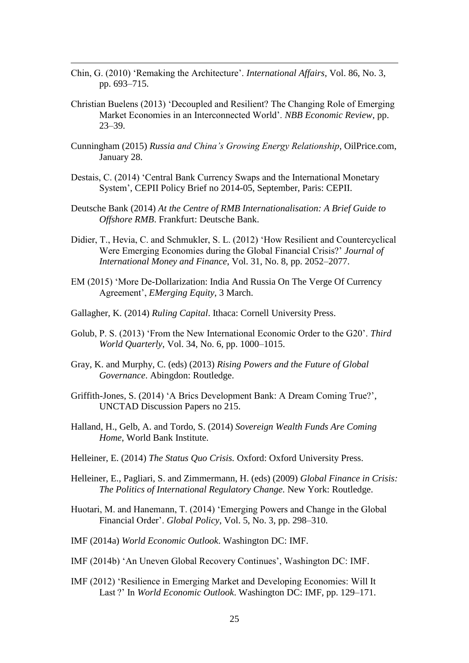Chin, G. (2010) 'Remaking the Architecture'. *International Affairs*, Vol. 86, No. 3, pp. 693–715.

<u>.</u>

- Christian Buelens (2013) 'Decoupled and Resilient? The Changing Role of Emerging Market Economies in an Interconnected World'. *NBB Economic Review*, pp. 23–39.
- Cunningham (2015) *Russia and China's Growing Energy Relationship*, OilPrice.com, January 28.
- Destais, C. (2014) 'Central Bank Currency Swaps and the International Monetary System', CEPII Policy Brief no 2014-05, September, Paris: CEPII.
- Deutsche Bank (2014) *At the Centre of RMB Internationalisation: A Brief Guide to Offshore RMB*. Frankfurt: Deutsche Bank.
- Didier, T., Hevia, C. and Schmukler, S. L. (2012) 'How Resilient and Countercyclical Were Emerging Economies during the Global Financial Crisis?' *Journal of International Money and Finance*, Vol. 31, No. 8, pp. 2052–2077.
- EM (2015) 'More De-Dollarization: India And Russia On The Verge Of Currency Agreement', *EMerging Equity*, 3 March.
- Gallagher, K. (2014) *Ruling Capital*. Ithaca: Cornell University Press.
- Golub, P. S. (2013) 'From the New International Economic Order to the G20'. *Third World Quarterly*, Vol. 34, No. 6, pp. 1000–1015.
- Gray, K. and Murphy, C. (eds) (2013) *Rising Powers and the Future of Global Governance*. Abingdon: Routledge.
- Griffith-Jones, S. (2014) 'A Brics Development Bank: A Dream Coming True?', UNCTAD Discussion Papers no 215.
- Halland, H., Gelb, A. and Tordo, S. (2014) *Sovereign Wealth Funds Are Coming Home*, World Bank Institute.
- Helleiner, E. (2014) *The Status Quo Crisis.* Oxford: Oxford University Press.
- Helleiner, E., Pagliari, S. and Zimmermann, H. (eds) (2009) *Global Finance in Crisis: The Politics of International Regulatory Change.* New York: Routledge.
- Huotari, M. and Hanemann, T. (2014) 'Emerging Powers and Change in the Global Financial Order'. *Global Policy*, Vol. 5, No. 3, pp. 298–310.
- IMF (2014a) *World Economic Outlook*. Washington DC: IMF.
- IMF (2014b) 'An Uneven Global Recovery Continues', Washington DC: IMF.
- IMF (2012) 'Resilience in Emerging Market and Developing Economies: Will It Last ?' In *World Economic Outlook*. Washington DC: IMF, pp. 129–171.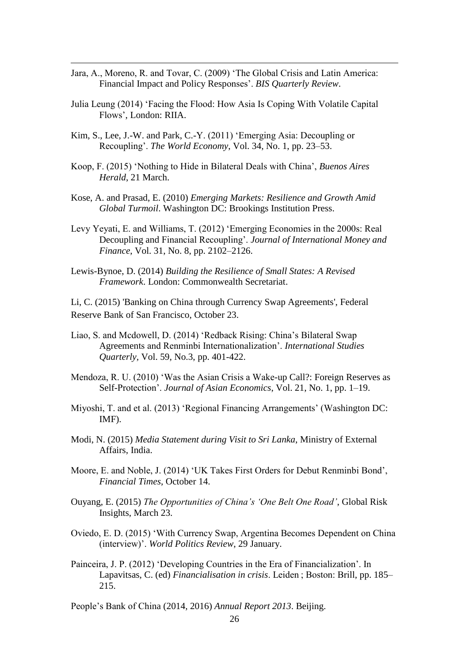Jara, A., Moreno, R. and Tovar, C. (2009) 'The Global Crisis and Latin America: Financial Impact and Policy Responses'. *BIS Quarterly Review*.

<u>.</u>

- Julia Leung (2014) 'Facing the Flood: How Asia Is Coping With Volatile Capital Flows', London: RIIA.
- Kim, S., Lee, J.-W. and Park, C.-Y. (2011) 'Emerging Asia: Decoupling or Recoupling'. *The World Economy*, Vol. 34, No. 1, pp. 23–53.
- Koop, F. (2015) 'Nothing to Hide in Bilateral Deals with China', *Buenos Aires Herald*, 21 March.
- Kose, A. and Prasad, E. (2010) *Emerging Markets: Resilience and Growth Amid Global Turmoil*. Washington DC: Brookings Institution Press.
- Levy Yeyati, E. and Williams, T. (2012) 'Emerging Economies in the 2000s: Real Decoupling and Financial Recoupling'. *Journal of International Money and Finance*, Vol. 31, No. 8, pp. 2102–2126.
- Lewis-Bynoe, D. (2014) *Building the Resilience of Small States: A Revised Framework*. London: Commonwealth Secretariat.

Li, C. (2015) 'Banking on China through Currency Swap Agreements', Federal Reserve Bank of San Francisco, October 23.

- Liao, S. and Mcdowell, D. (2014) 'Redback Rising: China's Bilateral Swap Agreements and Renminbi Internationalization'. *International Studies Quarterly,* Vol. 59, No.3, pp. 401-422.
- Mendoza, R. U. (2010) 'Was the Asian Crisis a Wake-up Call?: Foreign Reserves as Self-Protection'. *Journal of Asian Economics*, Vol. 21, No. 1, pp. 1–19.
- Miyoshi, T. and et al. (2013) 'Regional Financing Arrangements' (Washington DC: IMF).
- Modi, N. (2015) *Media Statement during Visit to Sri Lanka*, Ministry of External Affairs, India.
- Moore, E. and Noble, J. (2014) 'UK Takes First Orders for Debut Renminbi Bond', *Financial Times*, October 14.
- Ouyang, E. (2015) *The Opportunities of China's 'One Belt One Road'*, Global Risk Insights, March 23.
- Oviedo, E. D. (2015) 'With Currency Swap, Argentina Becomes Dependent on China (interview)'. *World Politics Review*, 29 January.
- Painceira, J. P. (2012) 'Developing Countries in the Era of Financialization'. In Lapavitsas, C. (ed) *Financialisation in crisis*. Leiden ; Boston: Brill, pp. 185– 215.

People's Bank of China (2014, 2016) *Annual Report 2013*. Beijing.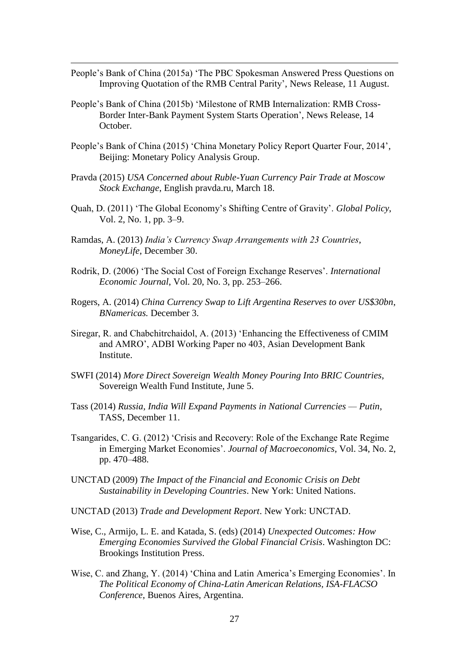People's Bank of China (2015a) 'The PBC Spokesman Answered Press Questions on Improving Quotation of the RMB Central Parity', News Release, 11 August.

<u>.</u>

- People's Bank of China (2015b) 'Milestone of RMB Internalization: RMB Cross-Border Inter-Bank Payment System Starts Operation', News Release, 14 October.
- People's Bank of China (2015) 'China Monetary Policy Report Quarter Four, 2014', Beijing: Monetary Policy Analysis Group.
- Pravda (2015) *USA Concerned about Ruble-Yuan Currency Pair Trade at Moscow Stock Exchange*, English pravda.ru, March 18.
- Quah, D. (2011) 'The Global Economy's Shifting Centre of Gravity'. *Global Policy*, Vol. 2, No. 1, pp. 3–9.
- Ramdas, A. (2013) *India's Currency Swap Arrangements with 23 Countries*, *MoneyLife*, December 30.
- Rodrik, D. (2006) 'The Social Cost of Foreign Exchange Reserves'. *International Economic Journal*, Vol. 20, No. 3, pp. 253–266.
- Rogers, A. (2014) *China Currency Swap to Lift Argentina Reserves to over US\$30bn*, *BNamericas.* December 3.
- Siregar, R. and Chabchitrchaidol, A. (2013) 'Enhancing the Effectiveness of CMIM and AMRO', ADBI Working Paper no 403, Asian Development Bank Institute.
- SWFI (2014) *More Direct Sovereign Wealth Money Pouring Into BRIC Countries*, Sovereign Wealth Fund Institute, June 5.
- Tass (2014) *Russia, India Will Expand Payments in National Currencies — Putin*, TASS, December 11.
- Tsangarides, C. G. (2012) 'Crisis and Recovery: Role of the Exchange Rate Regime in Emerging Market Economies'. *Journal of Macroeconomics*, Vol. 34, No. 2, pp. 470–488.
- UNCTAD (2009) *The Impact of the Financial and Economic Crisis on Debt Sustainability in Developing Countries*. New York: United Nations.

UNCTAD (2013) *Trade and Development Report*. New York: UNCTAD.

- Wise, C., Armijo, L. E. and Katada, S. (eds) (2014) *Unexpected Outcomes: How Emerging Economies Survived the Global Financial Crisis*. Washington DC: Brookings Institution Press.
- Wise, C. and Zhang, Y. (2014) 'China and Latin America's Emerging Economies'. In *The Political Economy of China-Latin American Relations, ISA-FLACSO Conference*, Buenos Aires, Argentina.